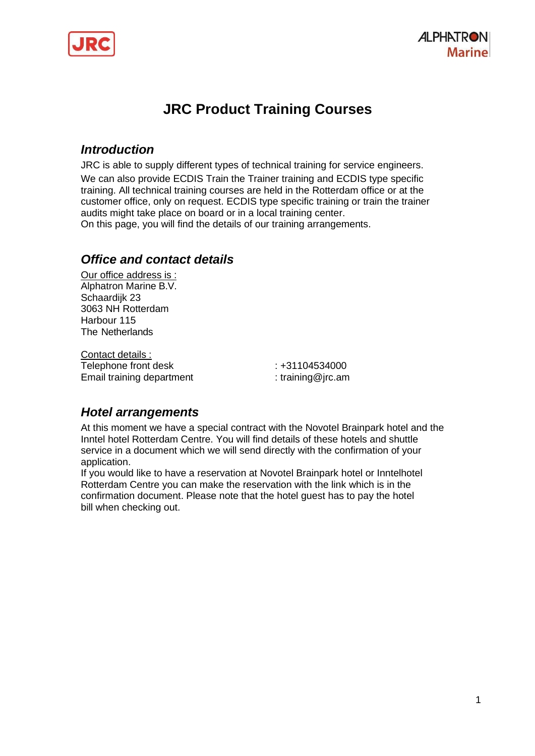

# **JRC Product Training Courses**

#### *Introduction*

JRC is able to supply different types of technical training for service engineers.

We can also provide ECDIS Train the Trainer training and ECDIS type specific training. All technical training courses are held in the Rotterdam office or at the customer office, only on request. ECDIS type specific training or train the trainer audits might take place on board or in a local training center. On this page, you will find the details of our training arrangements.

#### *Office and contact details*

Our office address is : Alphatron Marine B.V. Schaardijk 23 3063 NH Rotterdam Harbour 115 The Netherlands

Contact details : Telephone front desk : +31104534000 Email training department : [training@jrc.am](mailto:training@jrc.am)

#### *Hotel arrangements*

At this moment we have a special contract with the Novotel Brainpark hotel and the Inntel hotel Rotterdam Centre. You will find details of these hotels and shuttle service in a document which we will send directly with the confirmation of your application.

If you would like to have a reservation at Novotel Brainpark hotel or Inntelhotel Rotterdam Centre you can make the reservation with the link which is in the confirmation document. Please note that the hotel guest has to pay the hotel bill when checking out.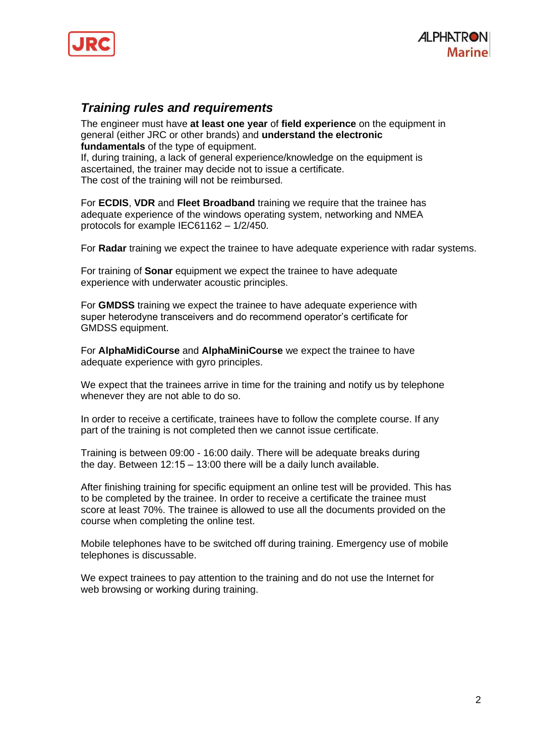

#### *Training rules and requirements*

The engineer must have **at least one year** of **field experience** on the equipment in general (either JRC or other brands) and **understand the electronic fundamentals** of the type of equipment.

If, during training, a lack of general experience/knowledge on the equipment is ascertained, the trainer may decide not to issue a certificate. The cost of the training will not be reimbursed.

For **ECDIS**, **VDR** and **Fleet Broadband** training we require that the trainee has adequate experience of the windows operating system, networking and NMEA protocols for example IEC61162 – 1/2/450.

For **Radar** training we expect the trainee to have adequate experience with radar systems.

For training of **Sonar** equipment we expect the trainee to have adequate experience with underwater acoustic principles.

For **GMDSS** training we expect the trainee to have adequate experience with super heterodyne transceivers and do recommend operator's certificate for GMDSS equipment.

For **AlphaMidiCourse** and **AlphaMiniCourse** we expect the trainee to have adequate experience with gyro principles.

We expect that the trainees arrive in time for the training and notify us by telephone whenever they are not able to do so.

In order to receive a certificate, trainees have to follow the complete course. If any part of the training is not completed then we cannot issue certificate.

Training is between 09:00 - 16:00 daily. There will be adequate breaks during the day. Between 12:15 – 13:00 there will be a daily lunch available.

After finishing training for specific equipment an online test will be provided. This has to be completed by the trainee. In order to receive a certificate the trainee must score at least 70%. The trainee is allowed to use all the documents provided on the course when completing the online test.

Mobile telephones have to be switched off during training. Emergency use of mobile telephones is discussable.

We expect trainees to pay attention to the training and do not use the Internet for web browsing or working during training.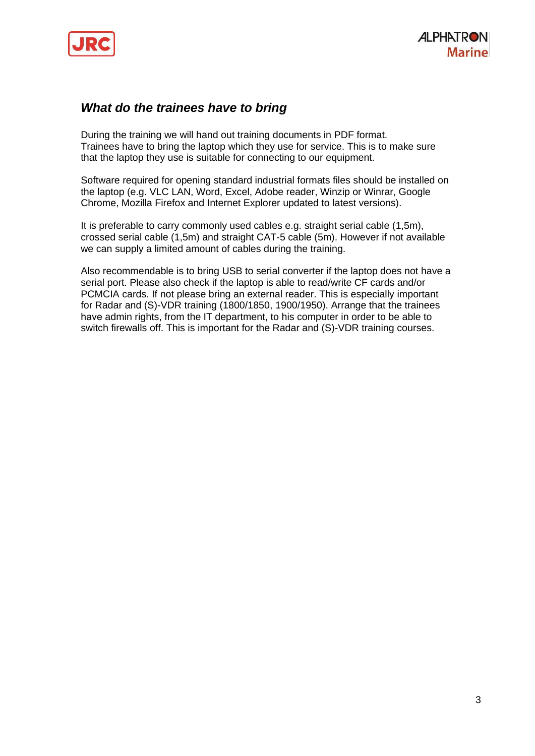

### *What do the trainees have to bring*

During the training we will hand out training documents in PDF format. Trainees have to bring the laptop which they use for service. This is to make sure that the laptop they use is suitable for connecting to our equipment.

Software required for opening standard industrial formats files should be installed on the laptop (e.g. VLC LAN, Word, Excel, Adobe reader, Winzip or Winrar, Google Chrome, Mozilla Firefox and Internet Explorer updated to latest versions).

It is preferable to carry commonly used cables e.g. straight serial cable (1,5m), crossed serial cable (1,5m) and straight CAT-5 cable (5m). However if not available we can supply a limited amount of cables during the training.

Also recommendable is to bring USB to serial converter if the laptop does not have a serial port. Please also check if the laptop is able to read/write CF cards and/or PCMCIA cards. If not please bring an external reader. This is especially important for Radar and (S)-VDR training (1800/1850, 1900/1950). Arrange that the trainees have admin rights, from the IT department, to his computer in order to be able to switch firewalls off. This is important for the Radar and (S)-VDR training courses.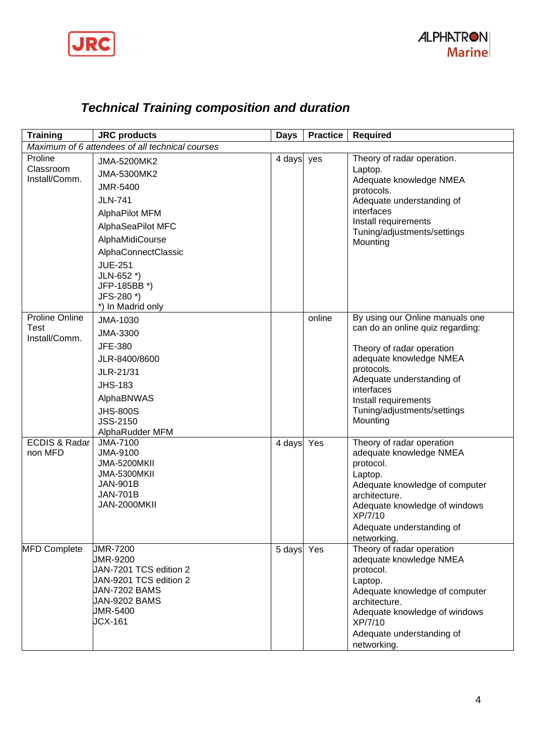

| <b>Technical Training composition and duration</b> |  |  |  |  |
|----------------------------------------------------|--|--|--|--|
|----------------------------------------------------|--|--|--|--|

| <b>Training</b>                                         | <b>JRC</b> products                                                                                                                                                                                                                               | <b>Days</b> | <b>Practice</b> | <b>Required</b>                                                                                                                                                                                                                 |
|---------------------------------------------------------|---------------------------------------------------------------------------------------------------------------------------------------------------------------------------------------------------------------------------------------------------|-------------|-----------------|---------------------------------------------------------------------------------------------------------------------------------------------------------------------------------------------------------------------------------|
|                                                         | Maximum of 6 attendees of all technical courses                                                                                                                                                                                                   |             |                 |                                                                                                                                                                                                                                 |
| Proline<br>Classroom<br>Install/Comm.<br>Proline Online | JMA-5200MK2<br><b>JMA-5300MK2</b><br><b>JMR-5400</b><br><b>JLN-741</b><br><b>AlphaPilot MFM</b><br>AlphaSeaPilot MFC<br>AlphaMidiCourse<br>AlphaConnectClassic<br><b>JUE-251</b><br>JLN-652 *)<br>JFP-185BB *)<br>JFS-280 *)<br>*) In Madrid only | 4 days yes  | online          | Theory of radar operation.<br>Laptop.<br>Adequate knowledge NMEA<br>protocols.<br>Adequate understanding of<br>interfaces<br>Install requirements<br>Tuning/adjustments/settings<br>Mounting<br>By using our Online manuals one |
| Test<br>Install/Comm.                                   | JMA-1030<br>JMA-3300<br>JFE-380<br>JLR-8400/8600<br>JLR-21/31<br><b>JHS-183</b><br>AlphaBNWAS<br><b>JHS-800S</b><br><b>JSS-2150</b><br>AlphaRudder MFM                                                                                            |             |                 | can do an online quiz regarding:<br>Theory of radar operation<br>adequate knowledge NMEA<br>protocols.<br>Adequate understanding of<br>interfaces<br>Install requirements<br>Tuning/adjustments/settings<br>Mounting            |
| <b>ECDIS &amp; Radar</b><br>non MFD                     | <b>JMA-7100</b><br>JMA-9100<br><b>JMA-5200MKII</b><br>JMA-5300MKII<br><b>JAN-901B</b><br><b>JAN-701B</b><br><b>JAN-2000MKII</b>                                                                                                                   | 4 days      | Yes             | Theory of radar operation<br>adequate knowledge NMEA<br>protocol.<br>Laptop.<br>Adequate knowledge of computer<br>architecture.<br>Adequate knowledge of windows<br>XP/7/10<br>Adequate understanding of<br>networking.         |
| <b>MFD Complete</b>                                     | <b>JMR-7200</b><br>JMR-9200<br>JAN-7201 TCS edition 2<br>JAN-9201 TCS edition 2<br>JAN-7202 BAMS<br>JAN-9202 BAMS<br><b>JMR-5400</b><br><b>JCX-161</b>                                                                                            | 5 days Yes  |                 | Theory of radar operation<br>adequate knowledge NMEA<br>protocol.<br>Laptop.<br>Adequate knowledge of computer<br>architecture.<br>Adequate knowledge of windows<br>XP/7/10<br>Adequate understanding of<br>networking.         |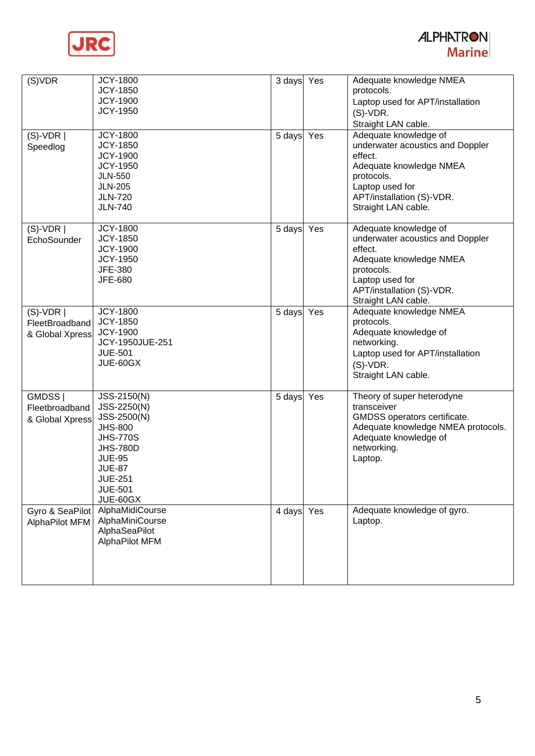

| (S)VDR                                         | <b>JCY-1800</b><br><b>JCY-1850</b><br><b>JCY-1900</b><br><b>JCY-1950</b>                                                                                                            | 3 days     | Yes | Adequate knowledge NMEA<br>protocols.<br>Laptop used for APT/installation<br>$(S)-VDR$ .<br>Straight LAN cable.                                                                      |
|------------------------------------------------|-------------------------------------------------------------------------------------------------------------------------------------------------------------------------------------|------------|-----|--------------------------------------------------------------------------------------------------------------------------------------------------------------------------------------|
| $(S)-VDR$<br>Speedlog                          | <b>JCY-1800</b><br><b>JCY-1850</b><br><b>JCY-1900</b><br><b>JCY-1950</b><br><b>JLN-550</b><br><b>JLN-205</b><br><b>JLN-720</b><br><b>JLN-740</b>                                    | 5 days Yes |     | Adequate knowledge of<br>underwater acoustics and Doppler<br>effect.<br>Adequate knowledge NMEA<br>protocols.<br>Laptop used for<br>APT/installation (S)-VDR.<br>Straight LAN cable. |
| $(S)-VDR$<br>EchoSounder                       | <b>JCY-1800</b><br><b>JCY-1850</b><br><b>JCY-1900</b><br><b>JCY-1950</b><br><b>JFE-380</b><br><b>JFE-680</b>                                                                        | 5 days Yes |     | Adequate knowledge of<br>underwater acoustics and Doppler<br>effect.<br>Adequate knowledge NMEA<br>protocols.<br>Laptop used for<br>APT/installation (S)-VDR.<br>Straight LAN cable. |
| $(S)-VDR$<br>FleetBroadband<br>& Global Xpress | <b>JCY-1800</b><br><b>JCY-1850</b><br><b>JCY-1900</b><br>JCY-1950JUE-251<br><b>JUE-501</b><br>JUE-60GX                                                                              | 5 days     | Yes | Adequate knowledge NMEA<br>protocols.<br>Adequate knowledge of<br>networking.<br>Laptop used for APT/installation<br>$(S)-VDR$ .<br>Straight LAN cable.                              |
| GMDSS  <br>Fleetbroadband<br>& Global Xpress   | JSS-2150(N)<br>JSS-2250(N)<br>JSS-2500(N)<br><b>JHS-800</b><br><b>JHS-770S</b><br><b>JHS-780D</b><br><b>JUE-95</b><br><b>JUE-87</b><br><b>JUE-251</b><br><b>JUE-501</b><br>JUE-60GX | 5 days     | Yes | Theory of super heterodyne<br>transceiver<br>GMDSS operators certificate.<br>Adequate knowledge NMEA protocols.<br>Adequate knowledge of<br>networking.<br>Laptop.                   |
| Gyro & SeaPilot<br>AlphaPilot MFM              | AlphaMidiCourse<br>AlphaMiniCourse<br>AlphaSeaPilot<br>AlphaPilot MFM                                                                                                               | 4 days     | Yes | Adequate knowledge of gyro.<br>Laptop.                                                                                                                                               |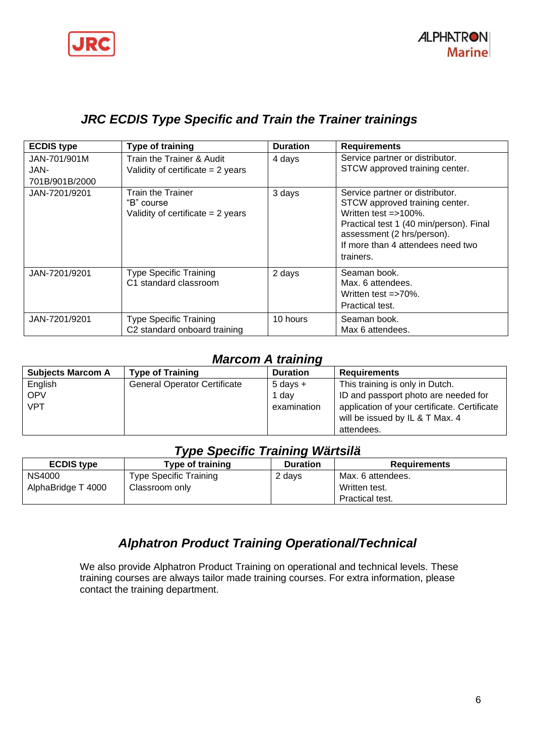

# *JRC ECDIS Type Specific and Train the Trainer trainings*

| <b>ECDIS type</b>                      | Type of training                                                       | <b>Duration</b> | <b>Requirements</b>                                                                                                                                                                                                     |
|----------------------------------------|------------------------------------------------------------------------|-----------------|-------------------------------------------------------------------------------------------------------------------------------------------------------------------------------------------------------------------------|
| JAN-701/901M<br>JAN-<br>701B/901B/2000 | Train the Trainer & Audit<br>Validity of certificate $= 2$ years       | 4 days          | Service partner or distributor.<br>STCW approved training center.                                                                                                                                                       |
| JAN-7201/9201                          | Train the Trainer<br>"B" course<br>Validity of certificate $= 2$ years | 3 days          | Service partner or distributor.<br>STCW approved training center.<br>Written test $=$ >100%.<br>Practical test 1 (40 min/person). Final<br>assessment (2 hrs/person).<br>If more than 4 attendees need two<br>trainers. |
| JAN-7201/9201                          | <b>Type Specific Training</b><br>C1 standard classroom                 | 2 days          | Seaman book.<br>Max. 6 attendees.<br>Written test $=$ >70%.<br>Practical test.                                                                                                                                          |
| JAN-7201/9201                          | <b>Type Specific Training</b><br>C2 standard onboard training          | 10 hours        | Seaman book.<br>Max 6 attendees.                                                                                                                                                                                        |

# *Marcom A training*

| <b>Subjects Marcom A</b> | <b>Type of Training</b>             | <b>Duration</b> | <b>Requirements</b>                          |
|--------------------------|-------------------------------------|-----------------|----------------------------------------------|
| English                  | <b>General Operator Certificate</b> | $5$ days $+$    | This training is only in Dutch.              |
| <b>OPV</b>               |                                     | 1 dav           | ID and passport photo are needed for         |
| <b>VPT</b>               |                                     | examination     | application of your certificate. Certificate |
|                          |                                     |                 | will be issued by IL & T Max. 4              |
|                          |                                     |                 | attendees.                                   |

# *Type Specific Training Wärtsilä*

| <b>ECDIS</b> type  | Type of training              | <b>Duration</b> | <b>Requirements</b> |
|--------------------|-------------------------------|-----------------|---------------------|
| <b>NS4000</b>      | <b>Type Specific Training</b> | 2 days          | Max. 6 attendees.   |
| AlphaBridge T 4000 | Classroom only                |                 | Written test.       |
|                    |                               |                 | Practical test.     |

# *Alphatron Product Training Operational/Technical*

We also provide Alphatron Product Training on operational and technical levels. These training courses are always tailor made training courses. For extra information, please contact the training department.